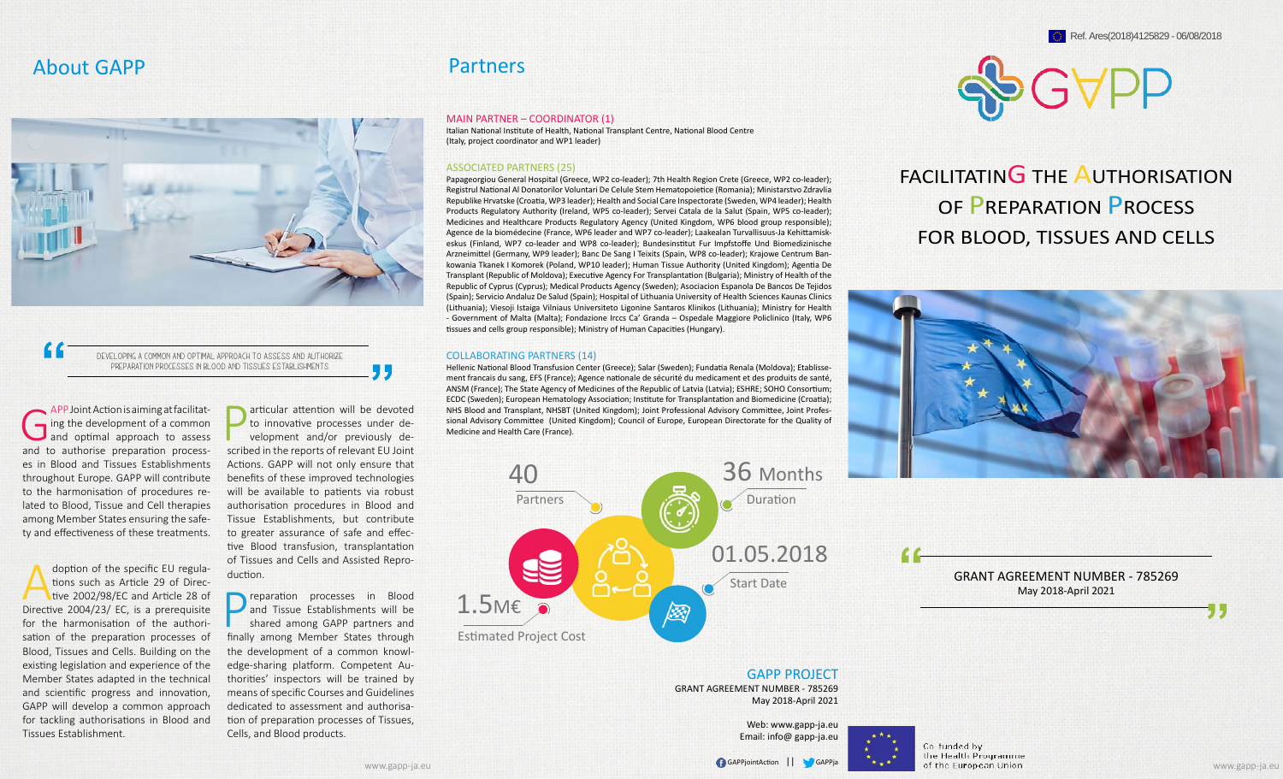

Developing a common and optimal approach to assess and authorize preparation processes in Blood and Tissues establishments

APP Joint Action is aiming at facilitation<br>ing the development of a common<br>and optimal approach to assess ing the development of a common and optimal approach to assess and to authorise preparation processes in Blood and Tissues Establishments throughout Europe. GAPP will contribute to the harmonisation of procedures related to Blood, Tissue and Cell therapies among Member States ensuring the safety and effectiveness of these treatments.

doption of the specific EU regulations such as Article 29 of Directive 2002/98/EC and Article 28 of Directive 2004/23/ EC, is a prerequisite for the harmonisation of the authorisation of the preparation processes of Blood, Tissues and Cells. Building on the existing legislation and experience of the Member States adapted in the technical and scientific progress and innovation, GAPP will develop a common approach for tackling authorisations in Blood and Tissues Establishment.

**Particular attention will be devoted<br>
to innovative processes under de-<br>
velopment and/or previously de-<br>
scribed in the reports of relevant EU loint** to innovative processes under described in the reports of relevant EU Joint Actions. GAPP will not only ensure that benefits of these improved technologies will be available to patients via robust authorisation procedures in Blood and Tissue Establishments, but contribute to greater assurance of safe and effective Blood transfusion, transplantation of Tissues and Cells and Assisted Reproduction.

55

**Preparation** processes in Blood<br>
and Tissue Establishments will be<br>
shared among GAPP partners and<br>
finally among Member States through and Tissue Establishments will be finally among Member States through the development of a common knowledge-sharing platform. Competent Authorities' inspectors will be trained by means of specific Courses and Guidelines dedicated to assessment and authorisation of preparation processes of Tissues, Cells, and Blood products.

## Partners

#### MAIN PARTNER – COORDINATOR (1)

Italian National Institute of Health, National Transplant Centre, National Blood Centre (Italy, project coordinator and WP1 leader)

#### ASSOCIATED PARTNERS (25)

Papageorgiou General Hospital (Greece, WP2 co-leader); 7th Health Region Crete (Greece, WP2 co-leader); Registrul National Al Donatorilor Voluntari De Celule Stem Hematopoietice (Romania); Ministarstvo Zdravlia Republike Hrvatske (Croatia, WP3 leader); Health and Social Care Inspectorate (Sweden, WP4 leader); Health Products Regulatory Authority (Ireland, WP5 co-leader); Servei Catala de la Salut (Spain, WP5 co-leader); Medicines and Healthcare Products Regulatory Agency (United Kingdom, WP6 blood group responsible); Agence de la biomédecine (France, WP6 leader and WP7 co-leader); Laakealan Turvallisuus-Ja Kehittamiskeskus (Finland, WP7 co-leader and WP8 co-leader); Bundesinstitut Fur Impfstoffe Und Biomedizinische Arzneimittel (Germany, WP9 leader); Banc De Sang I Teixits (Spain, WP8 co-leader); Krajowe Centrum Bankowania Tkanek I Komorek (Poland, WP10 leader); Human Tissue Authority (United Kingdom); Agentia De Transplant (Republic of Moldova); Executive Agency For Transplantation (Bulgaria); Ministry of Health of the Republic of Cyprus (Cyprus); Medical Products Agency (Sweden); Asociacion Espanola De Bancos De Tejidos (Spain); Servicio Andaluz De Salud (Spain); Hospital of Lithuania University of Health Sciences Kaunas Clinics (Lithuania); Viesoji Istaiga Vilniaus Universiteto Ligonine Santaros Klinikos (Lithuania); Ministry for Health - Government of Malta (Malta); Fondazione Irccs Ca' Granda – Ospedale Maggiore Policlinico (Italy, WP6 tissues and cells group responsible); Ministry of Human Capacities (Hungary).

#### COLLABORATING PARTNERS (14)

Hellenic National Blood Transfusion Center (Greece); Salar (Sweden); Fundatia Renala (Moldova); Etablissement francais du sang, EFS (France); Agence nationale de sécurité du medicament et des produits de santé, ANSM (France); The State Agency of Medicines of the Republic of Latvia (Latvia); ESHRE; SOHO Consortium; ECDC (Sweden); European Hematology Association; Institute for Transplantation and Biomedicine (Croatia); NHS Blood and Transplant, NHSBT (United Kingdom); Joint Professional Advisory Committee, Joint Professional Advisory Committee (United Kingdom); Council of Europe, European Directorate for the Quality of Medicine and Health Care (France).



GAPP PROJECT GRANT AGREEMENT NUMBER - 785269 May 2018-April 2021

> Web: www.gapp-ja.eu Email: info@ gapp-ja.eu





FACILITATING THE AUTHORISATION OF **PREPARATION PROCESS** FOR BLOOD, TISSUES AND CELLS



GRANT AGREEMENT NUMBER - 785269 May 2018-April 2021